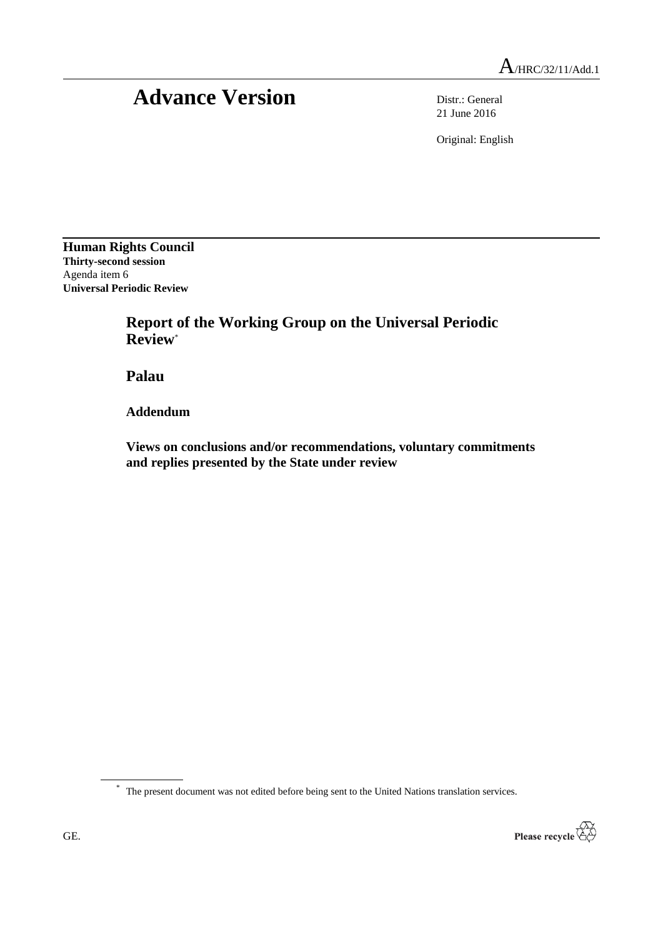# Advance Version Distr.: General

21 June 2016

Original: English

**Human Rights Council Thirty-second session** Agenda item 6 **Universal Periodic Review**

> **Report of the Working Group on the Universal Periodic Review**\*

**Palau**

**Addendum**

**Views on conclusions and/or recommendations, voluntary commitments and replies presented by the State under review**

\* The present document was not edited before being sent to the United Nations translation services.

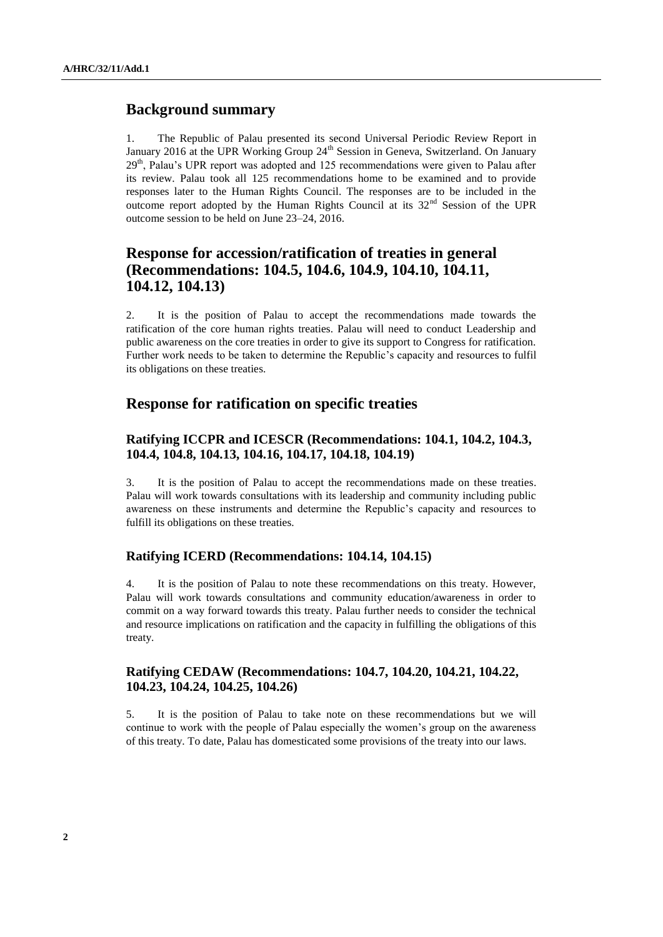## **Background summary**

1. The Republic of Palau presented its second Universal Periodic Review Report in January 2016 at the UPR Working Group  $24<sup>th</sup>$  Session in Geneva, Switzerland. On January 29<sup>th</sup>, Palau's UPR report was adopted and 125 recommendations were given to Palau after its review. Palau took all 125 recommendations home to be examined and to provide responses later to the Human Rights Council. The responses are to be included in the outcome report adopted by the Human Rights Council at its 32<sup>nd</sup> Session of the UPR outcome session to be held on June 23–24, 2016.

## **Response for accession/ratification of treaties in general (Recommendations: 104.5, 104.6, 104.9, 104.10, 104.11, 104.12, 104.13)**

2. It is the position of Palau to accept the recommendations made towards the ratification of the core human rights treaties. Palau will need to conduct Leadership and public awareness on the core treaties in order to give its support to Congress for ratification. Further work needs to be taken to determine the Republic's capacity and resources to fulfil its obligations on these treaties.

## **Response for ratification on specific treaties**

#### **Ratifying ICCPR and ICESCR (Recommendations: 104.1, 104.2, 104.3, 104.4, 104.8, 104.13, 104.16, 104.17, 104.18, 104.19)**

3. It is the position of Palau to accept the recommendations made on these treaties. Palau will work towards consultations with its leadership and community including public awareness on these instruments and determine the Republic's capacity and resources to fulfill its obligations on these treaties.

#### **Ratifying ICERD (Recommendations: 104.14, 104.15)**

4. It is the position of Palau to note these recommendations on this treaty. However, Palau will work towards consultations and community education/awareness in order to commit on a way forward towards this treaty. Palau further needs to consider the technical and resource implications on ratification and the capacity in fulfilling the obligations of this treaty.

#### **Ratifying CEDAW (Recommendations: 104.7, 104.20, 104.21, 104.22, 104.23, 104.24, 104.25, 104.26)**

5. It is the position of Palau to take note on these recommendations but we will continue to work with the people of Palau especially the women's group on the awareness of this treaty. To date, Palau has domesticated some provisions of the treaty into our laws.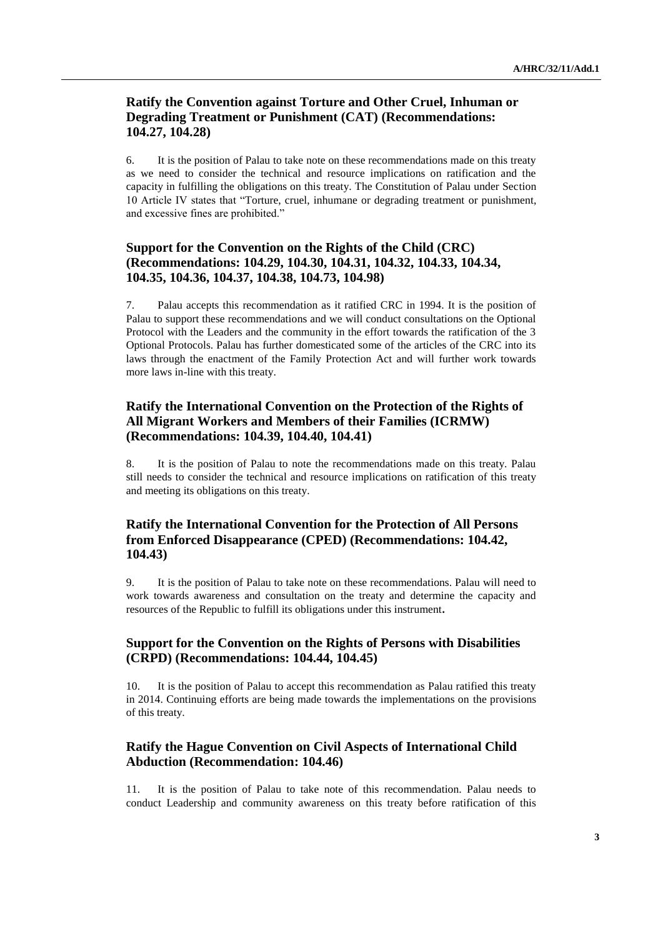#### **Ratify the Convention against Torture and Other Cruel, Inhuman or Degrading Treatment or Punishment (CAT) (Recommendations: 104.27, 104.28)**

6. It is the position of Palau to take note on these recommendations made on this treaty as we need to consider the technical and resource implications on ratification and the capacity in fulfilling the obligations on this treaty. The Constitution of Palau under Section 10 Article IV states that "Torture, cruel, inhumane or degrading treatment or punishment, and excessive fines are prohibited."

#### **Support for the Convention on the Rights of the Child (CRC) (Recommendations: 104.29, 104.30, 104.31, 104.32, 104.33, 104.34, 104.35, 104.36, 104.37, 104.38, 104.73, 104.98)**

7. Palau accepts this recommendation as it ratified CRC in 1994. It is the position of Palau to support these recommendations and we will conduct consultations on the Optional Protocol with the Leaders and the community in the effort towards the ratification of the 3 Optional Protocols. Palau has further domesticated some of the articles of the CRC into its laws through the enactment of the Family Protection Act and will further work towards more laws in-line with this treaty.

#### **Ratify the International Convention on the Protection of the Rights of All Migrant Workers and Members of their Families (ICRMW) (Recommendations: 104.39, 104.40, 104.41)**

8. It is the position of Palau to note the recommendations made on this treaty. Palau still needs to consider the technical and resource implications on ratification of this treaty and meeting its obligations on this treaty.

#### **Ratify the International Convention for the Protection of All Persons from Enforced Disappearance (CPED) (Recommendations: 104.42, 104.43)**

9. It is the position of Palau to take note on these recommendations. Palau will need to work towards awareness and consultation on the treaty and determine the capacity and resources of the Republic to fulfill its obligations under this instrument**.**

#### **Support for the Convention on the Rights of Persons with Disabilities (CRPD) (Recommendations: 104.44, 104.45)**

10. It is the position of Palau to accept this recommendation as Palau ratified this treaty in 2014. Continuing efforts are being made towards the implementations on the provisions of this treaty.

### **Ratify the Hague Convention on Civil Aspects of International Child Abduction (Recommendation: 104.46)**

11. It is the position of Palau to take note of this recommendation. Palau needs to conduct Leadership and community awareness on this treaty before ratification of this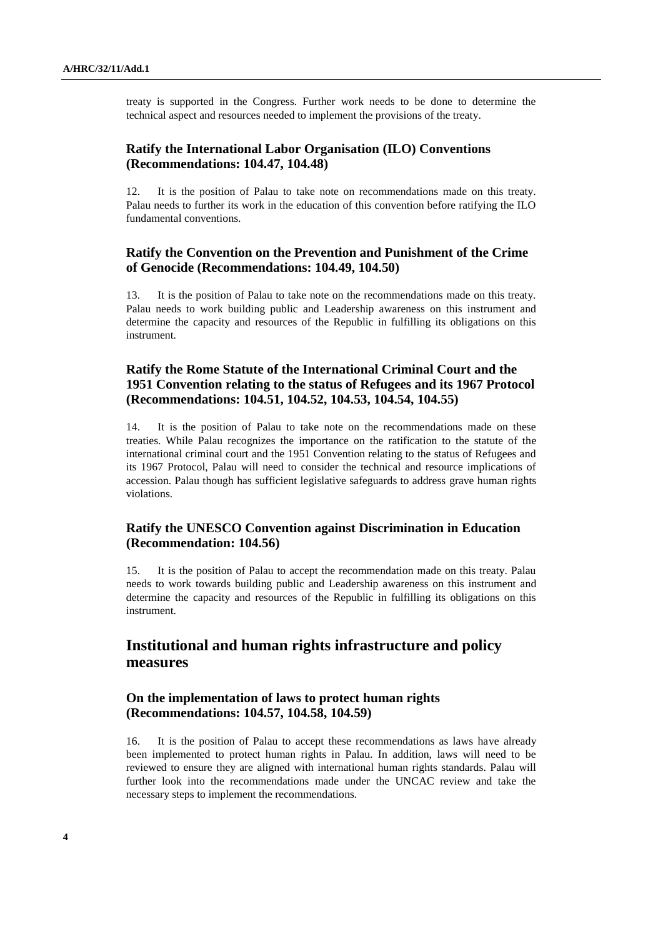treaty is supported in the Congress. Further work needs to be done to determine the technical aspect and resources needed to implement the provisions of the treaty.

#### **Ratify the International Labor Organisation (ILO) Conventions (Recommendations: 104.47, 104.48)**

12. It is the position of Palau to take note on recommendations made on this treaty. Palau needs to further its work in the education of this convention before ratifying the ILO fundamental conventions.

#### **Ratify the Convention on the Prevention and Punishment of the Crime of Genocide (Recommendations: 104.49, 104.50)**

13. It is the position of Palau to take note on the recommendations made on this treaty. Palau needs to work building public and Leadership awareness on this instrument and determine the capacity and resources of the Republic in fulfilling its obligations on this instrument.

#### **Ratify the Rome Statute of the International Criminal Court and the 1951 Convention relating to the status of Refugees and its 1967 Protocol (Recommendations: 104.51, 104.52, 104.53, 104.54, 104.55)**

14. It is the position of Palau to take note on the recommendations made on these treaties. While Palau recognizes the importance on the ratification to the statute of the international criminal court and the 1951 Convention relating to the status of Refugees and its 1967 Protocol, Palau will need to consider the technical and resource implications of accession. Palau though has sufficient legislative safeguards to address grave human rights violations.

#### **Ratify the UNESCO Convention against Discrimination in Education (Recommendation: 104.56)**

15. It is the position of Palau to accept the recommendation made on this treaty. Palau needs to work towards building public and Leadership awareness on this instrument and determine the capacity and resources of the Republic in fulfilling its obligations on this instrument.

## **Institutional and human rights infrastructure and policy measures**

#### **On the implementation of laws to protect human rights (Recommendations: 104.57, 104.58, 104.59)**

16. It is the position of Palau to accept these recommendations as laws have already been implemented to protect human rights in Palau. In addition, laws will need to be reviewed to ensure they are aligned with international human rights standards. Palau will further look into the recommendations made under the UNCAC review and take the necessary steps to implement the recommendations.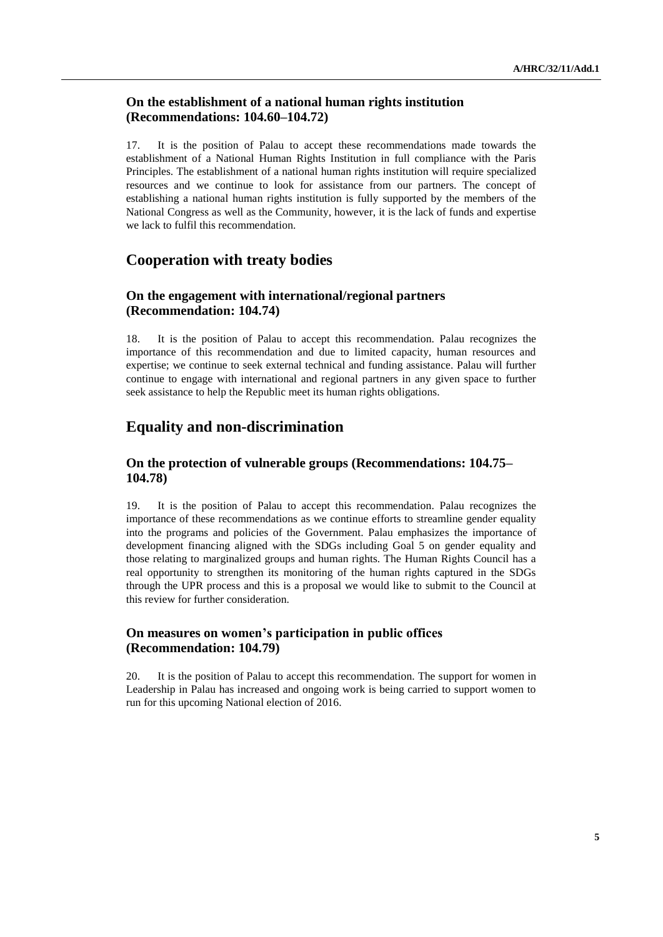#### **On the establishment of a national human rights institution (Recommendations: 104.60–104.72)**

17. It is the position of Palau to accept these recommendations made towards the establishment of a National Human Rights Institution in full compliance with the Paris Principles. The establishment of a national human rights institution will require specialized resources and we continue to look for assistance from our partners. The concept of establishing a national human rights institution is fully supported by the members of the National Congress as well as the Community, however, it is the lack of funds and expertise we lack to fulfil this recommendation.

## **Cooperation with treaty bodies**

#### **On the engagement with international/regional partners (Recommendation: 104.74)**

18. It is the position of Palau to accept this recommendation. Palau recognizes the importance of this recommendation and due to limited capacity, human resources and expertise; we continue to seek external technical and funding assistance. Palau will further continue to engage with international and regional partners in any given space to further seek assistance to help the Republic meet its human rights obligations.

# **Equality and non-discrimination**

#### **On the protection of vulnerable groups (Recommendations: 104.75– 104.78)**

19. It is the position of Palau to accept this recommendation. Palau recognizes the importance of these recommendations as we continue efforts to streamline gender equality into the programs and policies of the Government. Palau emphasizes the importance of development financing aligned with the SDGs including Goal 5 on gender equality and those relating to marginalized groups and human rights. The Human Rights Council has a real opportunity to strengthen its monitoring of the human rights captured in the SDGs through the UPR process and this is a proposal we would like to submit to the Council at this review for further consideration.

#### **On measures on women's participation in public offices (Recommendation: 104.79)**

20. It is the position of Palau to accept this recommendation. The support for women in Leadership in Palau has increased and ongoing work is being carried to support women to run for this upcoming National election of 2016.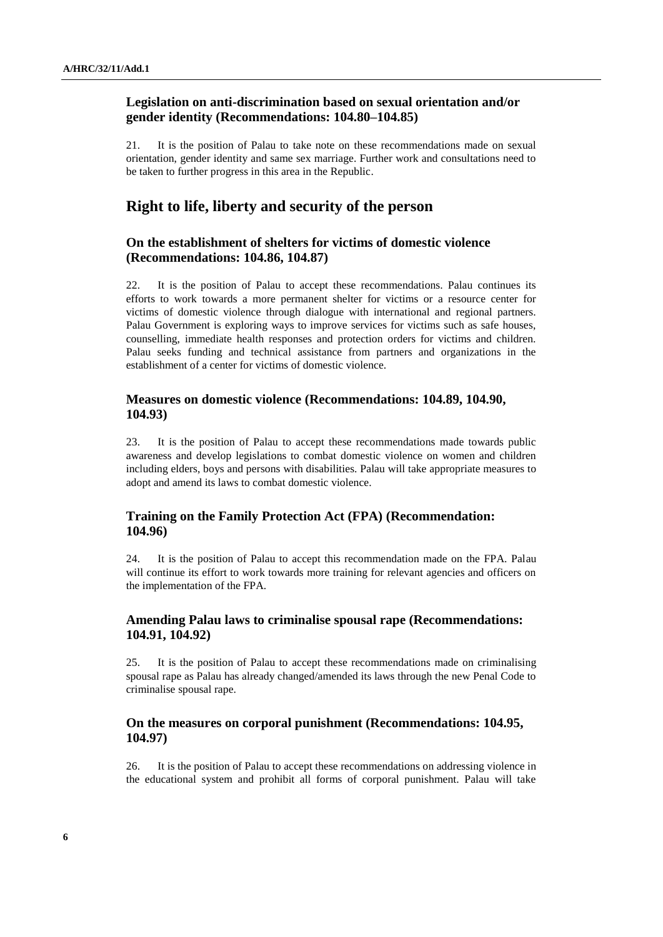#### **Legislation on anti-discrimination based on sexual orientation and/or gender identity (Recommendations: 104.80–104.85)**

21. It is the position of Palau to take note on these recommendations made on sexual orientation, gender identity and same sex marriage. Further work and consultations need to be taken to further progress in this area in the Republic.

## **Right to life, liberty and security of the person**

#### **On the establishment of shelters for victims of domestic violence (Recommendations: 104.86, 104.87)**

22. It is the position of Palau to accept these recommendations. Palau continues its efforts to work towards a more permanent shelter for victims or a resource center for victims of domestic violence through dialogue with international and regional partners. Palau Government is exploring ways to improve services for victims such as safe houses, counselling, immediate health responses and protection orders for victims and children. Palau seeks funding and technical assistance from partners and organizations in the establishment of a center for victims of domestic violence.

#### **Measures on domestic violence (Recommendations: 104.89, 104.90, 104.93)**

23. It is the position of Palau to accept these recommendations made towards public awareness and develop legislations to combat domestic violence on women and children including elders, boys and persons with disabilities. Palau will take appropriate measures to adopt and amend its laws to combat domestic violence.

#### **Training on the Family Protection Act (FPA) (Recommendation: 104.96)**

24. It is the position of Palau to accept this recommendation made on the FPA. Palau will continue its effort to work towards more training for relevant agencies and officers on the implementation of the FPA.

#### **Amending Palau laws to criminalise spousal rape (Recommendations: 104.91, 104.92)**

25. It is the position of Palau to accept these recommendations made on criminalising spousal rape as Palau has already changed/amended its laws through the new Penal Code to criminalise spousal rape.

#### **On the measures on corporal punishment (Recommendations: 104.95, 104.97)**

26. It is the position of Palau to accept these recommendations on addressing violence in the educational system and prohibit all forms of corporal punishment. Palau will take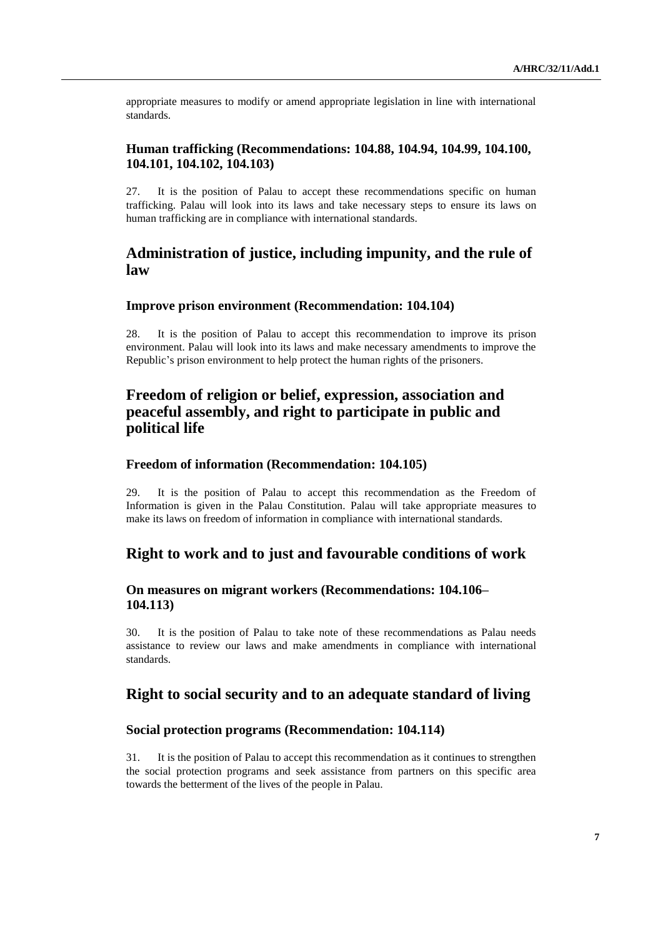appropriate measures to modify or amend appropriate legislation in line with international standards.

#### **Human trafficking (Recommendations: 104.88, 104.94, 104.99, 104.100, 104.101, 104.102, 104.103)**

27. It is the position of Palau to accept these recommendations specific on human trafficking. Palau will look into its laws and take necessary steps to ensure its laws on human trafficking are in compliance with international standards.

## **Administration of justice, including impunity, and the rule of law**

#### **Improve prison environment (Recommendation: 104.104)**

28. It is the position of Palau to accept this recommendation to improve its prison environment. Palau will look into its laws and make necessary amendments to improve the Republic's prison environment to help protect the human rights of the prisoners.

# **Freedom of religion or belief, expression, association and peaceful assembly, and right to participate in public and political life**

#### **Freedom of information (Recommendation: 104.105)**

29. It is the position of Palau to accept this recommendation as the Freedom of Information is given in the Palau Constitution. Palau will take appropriate measures to make its laws on freedom of information in compliance with international standards.

# **Right to work and to just and favourable conditions of work**

#### **On measures on migrant workers (Recommendations: 104.106– 104.113)**

30. It is the position of Palau to take note of these recommendations as Palau needs assistance to review our laws and make amendments in compliance with international standards.

## **Right to social security and to an adequate standard of living**

#### **Social protection programs (Recommendation: 104.114)**

31. It is the position of Palau to accept this recommendation as it continues to strengthen the social protection programs and seek assistance from partners on this specific area towards the betterment of the lives of the people in Palau.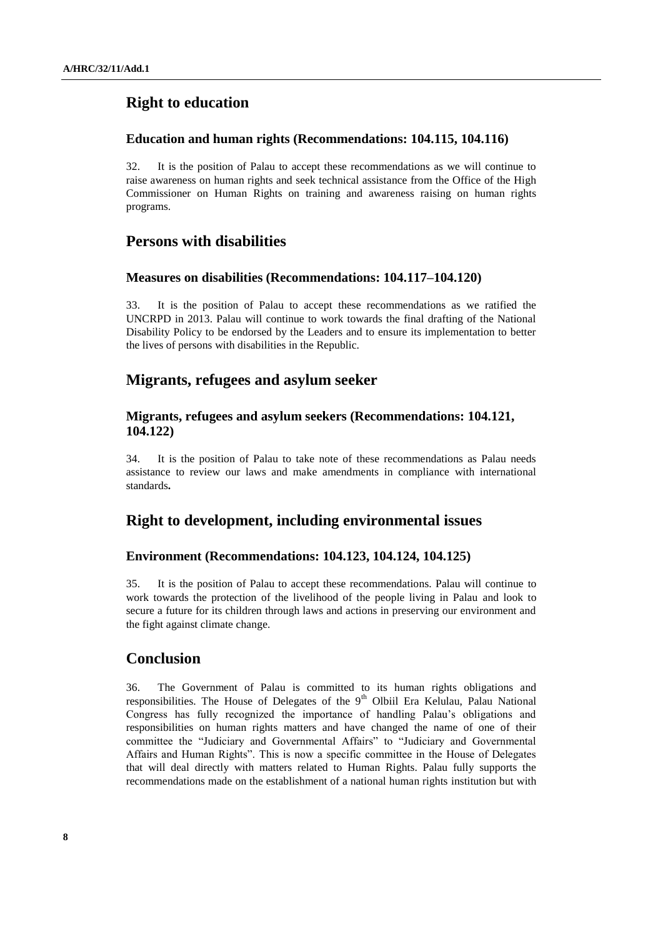# **Right to education**

#### **Education and human rights (Recommendations: 104.115, 104.116)**

32. It is the position of Palau to accept these recommendations as we will continue to raise awareness on human rights and seek technical assistance from the Office of the High Commissioner on Human Rights on training and awareness raising on human rights programs.

## **Persons with disabilities**

#### **Measures on disabilities (Recommendations: 104.117–104.120)**

33. It is the position of Palau to accept these recommendations as we ratified the UNCRPD in 2013. Palau will continue to work towards the final drafting of the National Disability Policy to be endorsed by the Leaders and to ensure its implementation to better the lives of persons with disabilities in the Republic.

## **Migrants, refugees and asylum seeker**

#### **Migrants, refugees and asylum seekers (Recommendations: 104.121, 104.122)**

34. It is the position of Palau to take note of these recommendations as Palau needs assistance to review our laws and make amendments in compliance with international standards**.**

## **Right to development, including environmental issues**

#### **Environment (Recommendations: 104.123, 104.124, 104.125)**

35. It is the position of Palau to accept these recommendations. Palau will continue to work towards the protection of the livelihood of the people living in Palau and look to secure a future for its children through laws and actions in preserving our environment and the fight against climate change.

# **Conclusion**

36. The Government of Palau is committed to its human rights obligations and responsibilities. The House of Delegates of the  $9<sup>th</sup>$  Olbiil Era Kelulau, Palau National Congress has fully recognized the importance of handling Palau's obligations and responsibilities on human rights matters and have changed the name of one of their committee the "Judiciary and Governmental Affairs" to "Judiciary and Governmental Affairs and Human Rights". This is now a specific committee in the House of Delegates that will deal directly with matters related to Human Rights. Palau fully supports the recommendations made on the establishment of a national human rights institution but with